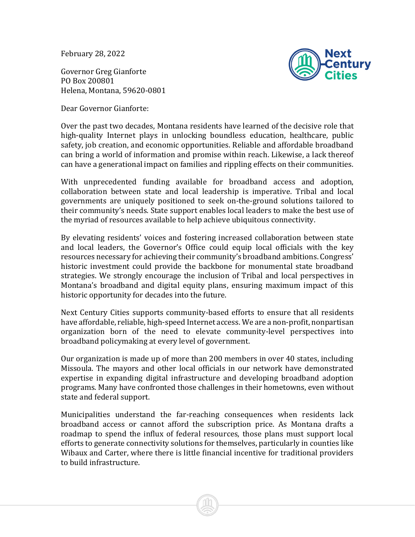February 28, 2022

Governor Greg Gianforte PO Box 200801 Helena, Montana, 59620-0801



Dear Governor Gianforte:

Over the past two decades, Montana residents have learned of the decisive role that high-quality Internet plays in unlocking boundless education, healthcare, public safety, job creation, and economic opportunities. Reliable and affordable broadband can bring a world of information and promise within reach. Likewise, a lack thereof can have a generational impact on families and rippling effects on their communities.

With unprecedented funding available for broadband access and adoption, collaboration between state and local leadership is imperative. Tribal and local governments are uniquely positioned to seek on-the-ground solutions tailored to their community's needs. State support enables local leaders to make the best use of the myriad of resources available to help achieve ubiquitous connectivity.

By elevating residents' voices and fostering increased collaboration between state and local leaders, the Governor's Office could equip local officials with the key resources necessary for achieving their community's broadband ambitions. Congress' historic investment could provide the backbone for monumental state broadband strategies. We strongly encourage the inclusion of Tribal and local perspectives in Montana's broadband and digital equity plans, ensuring maximum impact of this historic opportunity for decades into the future.

Next Century Cities supports community-based efforts to ensure that all residents have affordable, reliable, high-speed Internet access. We are a non-profit, nonpartisan organization born of the need to elevate community-level perspectives into broadband policymaking at every level of government.

Our organization is made up of more than 200 members in over 40 states, including Missoula. The mayors and other local officials in our network have demonstrated expertise in expanding digital infrastructure and developing broadband adoption programs. Many have confronted those challenges in their hometowns, even without state and federal support.

Municipalities understand the far-reaching consequences when residents lack broadband access or cannot afford the subscription price. As Montana drafts a roadmap to spend the influx of federal resources, those plans must support local efforts to generate connectivity solutions for themselves, particularly in counties like Wibaux and Carter, where there is little financial incentive for traditional providers to build infrastructure.